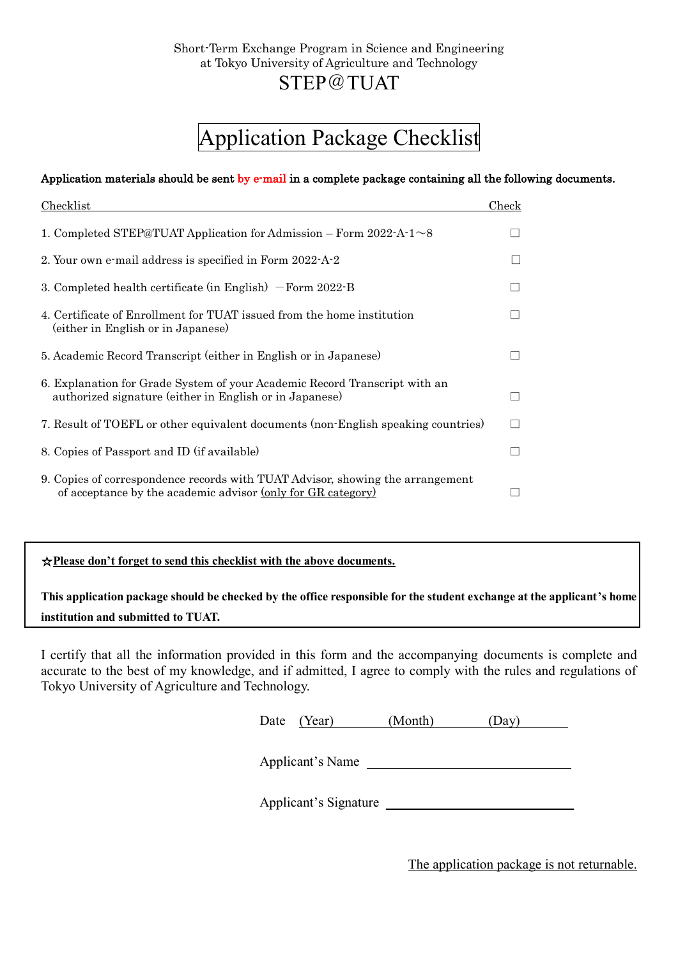## Application Package Checklist

#### Application materials should be sent by e-mail in a complete package containing all the following documents.

| Checklist                                                                                                                                      | Check |
|------------------------------------------------------------------------------------------------------------------------------------------------|-------|
| 1. Completed STEP@TUAT Application for Admission - Form $2022-A-1\sim8$                                                                        |       |
| 2. Your own e-mail address is specified in Form 2022-A-2                                                                                       |       |
| 3. Completed health certificate (in English) $-$ Form 2022-B                                                                                   |       |
| 4. Certificate of Enrollment for TUAT issued from the home institution<br>(either in English or in Japanese)                                   |       |
| 5. Academic Record Transcript (either in English or in Japanese)                                                                               |       |
| 6. Explanation for Grade System of your Academic Record Transcript with an<br>authorized signature (either in English or in Japanese)          |       |
| 7. Result of TOEFL or other equivalent documents (non-English speaking countries)                                                              |       |
| 8. Copies of Passport and ID (if available)                                                                                                    |       |
| 9. Copies of correspondence records with TUAT Advisor, showing the arrangement<br>of acceptance by the academic advisor (only for GR category) |       |

#### ☆**Please don't forget to send this checklist with the above documents.**

**This application package should be checked by the office responsible for the student exchange at the applicant's home institution and submitted to TUAT.**

I certify that all the information provided in this form and the accompanying documents is complete and accurate to the best of my knowledge, and if admitted, I agree to comply with the rules and regulations of Tokyo University of Agriculture and Technology.

Date (Year) (Month) (Day)

Applicant's Name

Applicant's Signature

The application package is not returnable.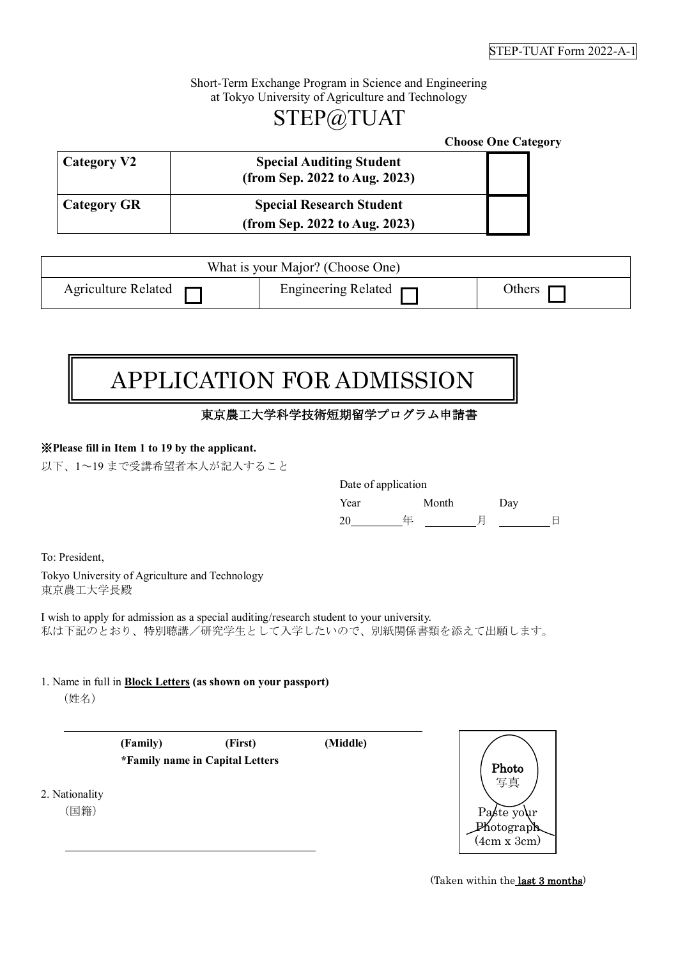Short-Term Exchange Program in Science and Engineering at Tokyo University of Agriculture and Technology

## STEP@TUAT

|                    |                                                                  | <b>Choose One Category</b> |
|--------------------|------------------------------------------------------------------|----------------------------|
| <b>Category V2</b> | <b>Special Auditing Student</b><br>(from Sep. 2022 to Aug. 2023) |                            |
| <b>Category GR</b> | <b>Special Research Student</b><br>(from Sep. 2022 to Aug. 2023) |                            |
|                    |                                                                  |                            |

|                     | What is your Major? (Choose One) |        |
|---------------------|----------------------------------|--------|
| Agriculture Related | Engineering Related $\Box$       | Others |

# APPLICATION FOR ADMISSION

#### 東京農工大学科学技術短期留学プログラム申請書

#### ※**Please fill in Item 1 to 19 by the applicant.**

以下、1~19 まで受講希望者本人が記入すること

| Date of application |       |     |  |
|---------------------|-------|-----|--|
| Year                | Month | Day |  |
| 20                  |       |     |  |

To: President,

Tokyo University of Agriculture and Technology 東京農工大学長殿

I wish to apply for admission as a special auditing/research student to your university. 私は下記のとおり、特別聴講/研究学生として入学したいので、別紙関係書類を添えて出願します。

1. Name in full in **Block Letters (as shown on your passport)**

(姓名)

 **(Family) (First) (Middle) \*Family name in Capital Letters**

2. Nationality

(国籍)



Photo 写真

(Taken within the last 3 months)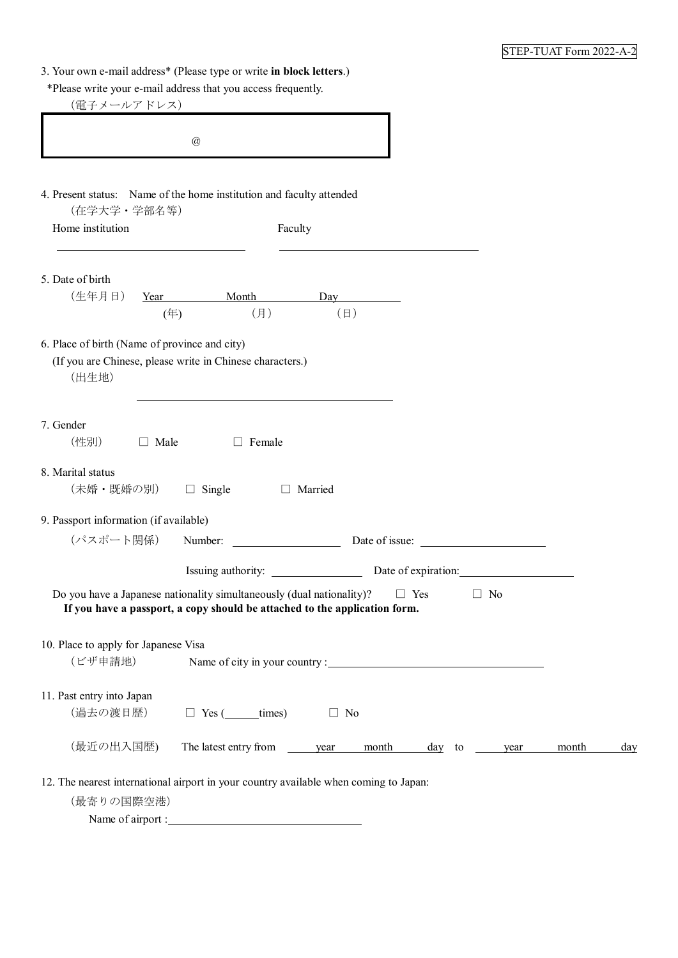| 3. Your own e-mail address* (Please type or write in block letters.) |  |  |
|----------------------------------------------------------------------|--|--|
|----------------------------------------------------------------------|--|--|

\*Please write your e-mail address that you access frequently.

(電子メールアドレス)

| (在学大学·学部名等)<br>Home institution                 |             |                                                                                                                                                     | Faculty   |            |           |  |
|-------------------------------------------------|-------------|-----------------------------------------------------------------------------------------------------------------------------------------------------|-----------|------------|-----------|--|
|                                                 |             |                                                                                                                                                     |           |            |           |  |
| 5. Date of birth                                |             |                                                                                                                                                     |           |            |           |  |
| (生年月日)                                          | (年)         | Year Month<br>(月)                                                                                                                                   | (E)       | Day        |           |  |
| 6. Place of birth (Name of province and city)   |             |                                                                                                                                                     |           |            |           |  |
|                                                 |             | (If you are Chinese, please write in Chinese characters.)                                                                                           |           |            |           |  |
| (出生地)                                           |             |                                                                                                                                                     |           |            |           |  |
| 7. Gender                                       |             |                                                                                                                                                     |           |            |           |  |
| (性別)                                            | $\Box$ Male | $\Box$ Female                                                                                                                                       |           |            |           |  |
| 8. Marital status                               |             |                                                                                                                                                     |           |            |           |  |
| (未婚・既婚の別)                                       |             | $\Box$ Single $\Box$ Married                                                                                                                        |           |            |           |  |
| 9. Passport information (if available)          |             |                                                                                                                                                     |           |            |           |  |
| (パスポート関係)                                       |             |                                                                                                                                                     |           |            |           |  |
|                                                 |             | Issuing authority: Date of expiration:                                                                                                              |           |            |           |  |
|                                                 |             | Do you have a Japanese nationality simultaneously (dual nationality)?<br>If you have a passport, a copy should be attached to the application form. |           | $\Box$ Yes | $\Box$ No |  |
|                                                 |             |                                                                                                                                                     |           |            |           |  |
| 10. Place to apply for Japanese Visa<br>(ビザ申請地) |             |                                                                                                                                                     |           |            |           |  |
|                                                 |             |                                                                                                                                                     |           |            |           |  |
|                                                 |             | $\Box$ Yes ( $\qquad$ times)                                                                                                                        | $\Box$ No |            |           |  |
| 11. Past entry into Japan                       |             |                                                                                                                                                     |           |            |           |  |
| (過去の渡日歴)                                        |             |                                                                                                                                                     |           |            |           |  |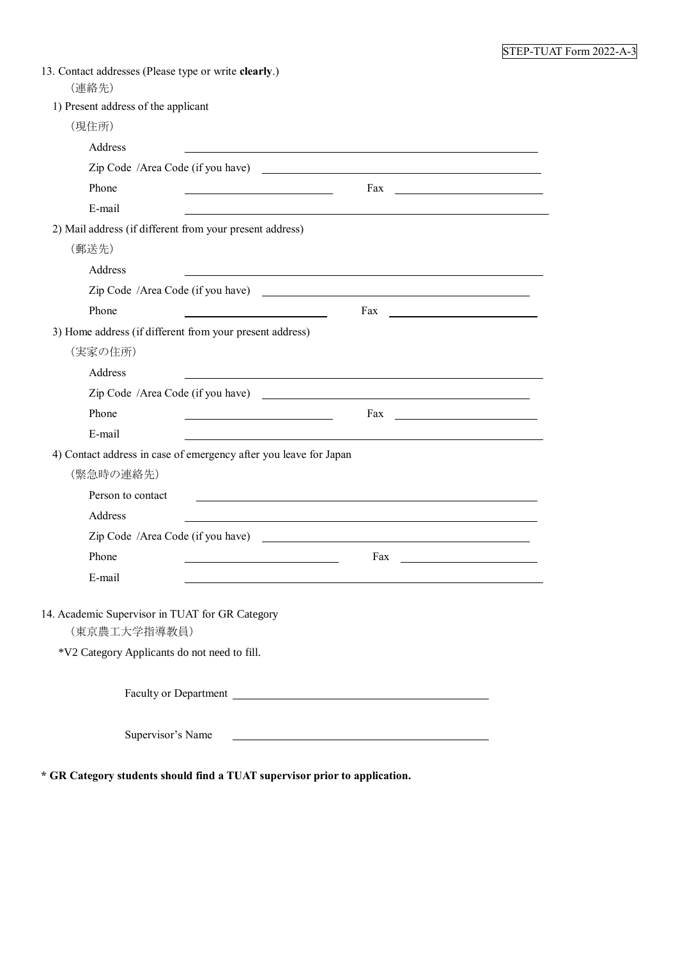| 13. Contact addresses (Please type or write clearly.)<br>(連絡先)    |                                                                                                                      |
|-------------------------------------------------------------------|----------------------------------------------------------------------------------------------------------------------|
| 1) Present address of the applicant                               |                                                                                                                      |
| (現住所)                                                             |                                                                                                                      |
| Address                                                           |                                                                                                                      |
|                                                                   | Zip Code /Area Code (if you have)                                                                                    |
| Phone                                                             | Fax                                                                                                                  |
| E-mail                                                            |                                                                                                                      |
| 2) Mail address (if different from your present address)          |                                                                                                                      |
| (郵送先)                                                             |                                                                                                                      |
| Address                                                           |                                                                                                                      |
|                                                                   |                                                                                                                      |
| Phone                                                             | Fax                                                                                                                  |
| 3) Home address (if different from your present address)          |                                                                                                                      |
| (実家の住所)                                                           |                                                                                                                      |
| Address                                                           |                                                                                                                      |
|                                                                   |                                                                                                                      |
| Phone                                                             | Fax                                                                                                                  |
| E-mail                                                            |                                                                                                                      |
| 4) Contact address in case of emergency after you leave for Japan |                                                                                                                      |
| (緊急時の連絡先)                                                         |                                                                                                                      |
| Person to contact                                                 |                                                                                                                      |
| Address                                                           | <u> 1980 - John Stein, Amerikaansk politiker (</u> † 1920)                                                           |
|                                                                   | Zip Code /Area Code (if you have)                                                                                    |
| Phone                                                             | Fax                                                                                                                  |
| E-mail                                                            |                                                                                                                      |
| 14. Academic Supervisor in TUAT for GR Category<br>(東京農工大学指導教員)   |                                                                                                                      |
| *V2 Category Applicants do not need to fill.                      |                                                                                                                      |
|                                                                   |                                                                                                                      |
|                                                                   |                                                                                                                      |
|                                                                   |                                                                                                                      |
| Supervisor's Name                                                 | <u> 1980 - Johann Barn, mars ann an t-Amhain Aonaich an t-Aonaich an t-Aonaich ann an t-Aonaich ann an t-Aonaich</u> |

**\* GR Category students should find a TUAT supervisor prior to application.**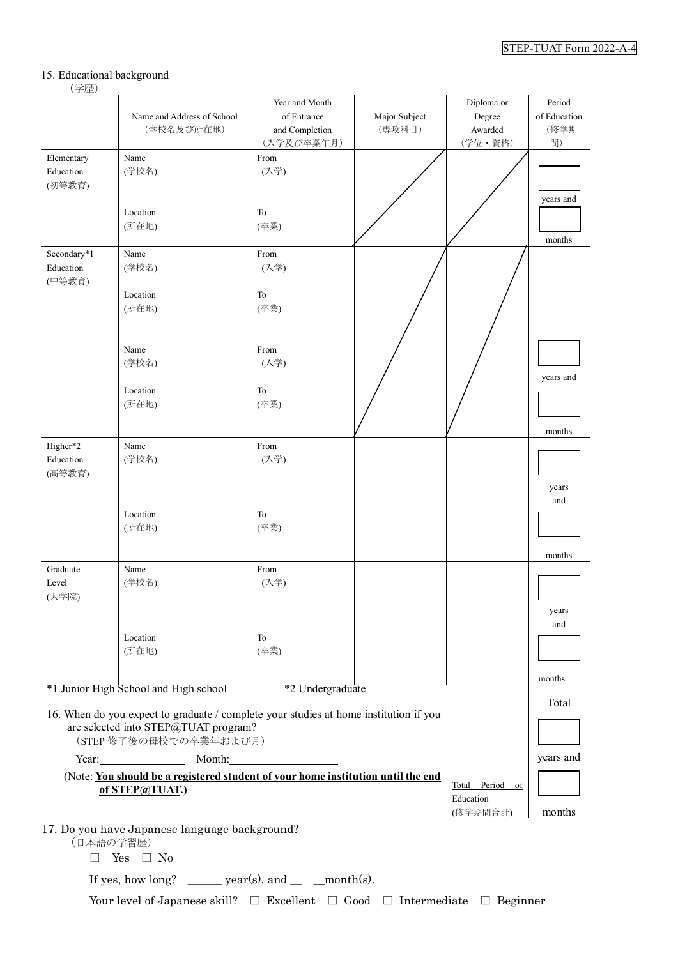#### 15. Educational background

#### (学歴)

|                                    | Name and Address of School<br>(学校名及び所在地)                                                                                      | Year and Month<br>of Entrance<br>and Completion<br>(入学及び卒業年月) | Major Subject<br>(専攻科目) | Diploma or<br>Degree<br>Awarded<br>(学位·資格) | Period<br>of Education<br>(修学期<br>間) |
|------------------------------------|-------------------------------------------------------------------------------------------------------------------------------|---------------------------------------------------------------|-------------------------|--------------------------------------------|--------------------------------------|
| Elementary<br>Education<br>(初等教育)  | Name<br>(学校名)                                                                                                                 | From<br>(入学)                                                  |                         |                                            | years and                            |
|                                    | Location<br>(所在地)                                                                                                             | To<br>(卒業)                                                    |                         |                                            | months                               |
| Secondary*1<br>Education<br>(中等教育) | Name<br>(学校名)                                                                                                                 | From<br>(入学)                                                  |                         |                                            |                                      |
|                                    | Location<br>(所在地)                                                                                                             | To<br>(卒業)                                                    |                         |                                            |                                      |
|                                    | Name<br>(学校名)                                                                                                                 | From<br>(入学)                                                  |                         |                                            | years and                            |
|                                    | Location<br>(所在地)                                                                                                             | To<br>(卒業)                                                    |                         |                                            |                                      |
| Higher*2<br>Education<br>(高等教育)    | Name<br>(学校名)                                                                                                                 | From<br>(入学)                                                  |                         |                                            | months<br>years                      |
|                                    | Location<br>(所在地)                                                                                                             | To<br>(卒業)                                                    |                         |                                            | and<br>months                        |
| Graduate<br>Level<br>(大学院)         | Name<br>(学校名)                                                                                                                 | From<br>(入学)                                                  |                         |                                            | years<br>and                         |
|                                    | Location<br>(所在地)                                                                                                             | To<br>(卒業)                                                    |                         |                                            |                                      |
|                                    | *1 Junior High School and High school                                                                                         | *2 Undergraduate                                              |                         |                                            | months                               |
|                                    | 16. When do you expect to graduate / complete your studies at home institution if you<br>are selected into STEP@TUAT program? |                                                               |                         |                                            | Total                                |
| Year:                              | (STEP 修了後の母校での卒業年および月)                                                                                                        | Month:                                                        |                         |                                            | years and                            |
|                                    | (Note: You should be a registered student of your home institution until the end<br>of STEP@TUAT.)                            |                                                               |                         | Total Period of<br>Education               |                                      |
| (日本語の学習歴)                          | 17. Do you have Japanese language background?<br>Yes $\Box$ No                                                                |                                                               |                         | (修学期間合計)                                   | months                               |
| П                                  | If yes, how long? _______ year(s), and ______ month(s).                                                                       |                                                               |                         |                                            |                                      |

Your level of Japanese skill? □ Excellent □ Good □ Intermediate □ Beginner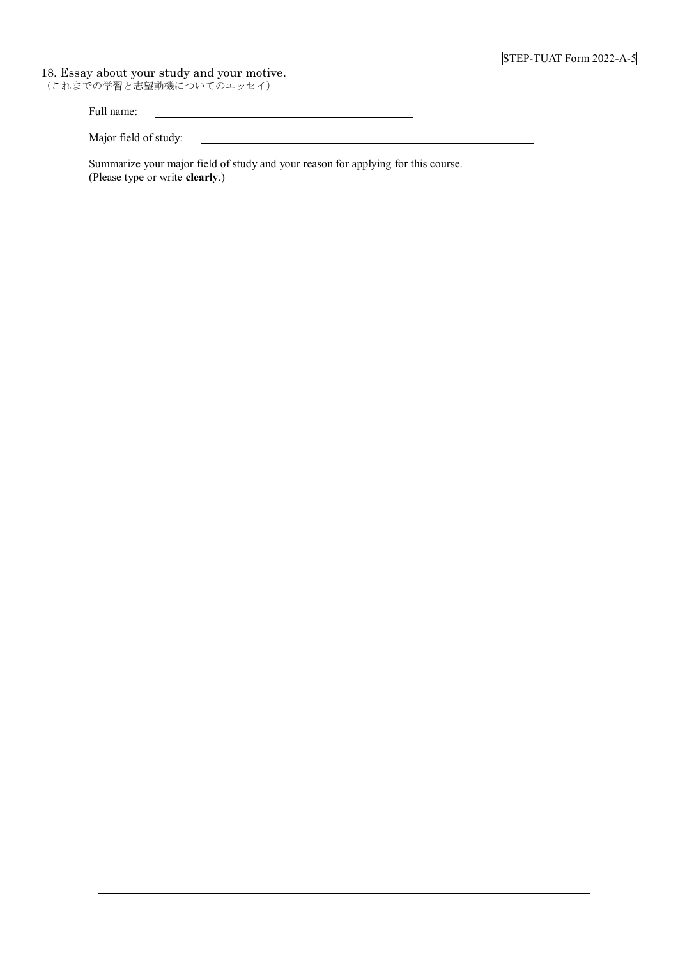18. Essay about your study and your motive.

(これまでの学習と志望動機についてのエッセイ)

Full name:

Major field of study:

Summarize your major field of study and your reason for applying for this course. (Please type or write **clearly**.)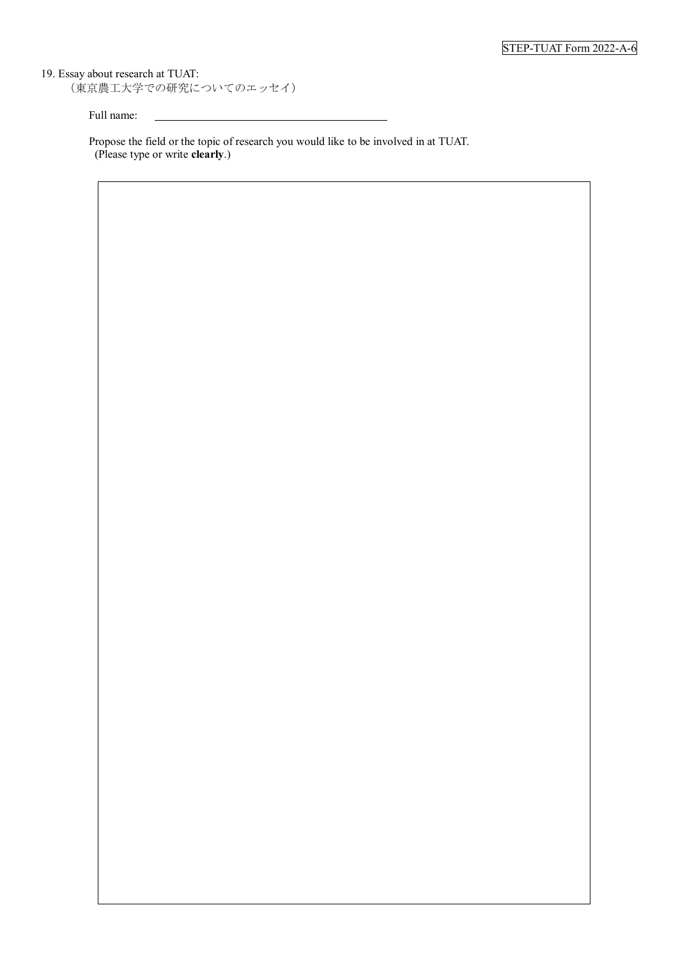19. Essay about research at TUAT: (東京農工大学での研究についてのエッセイ)

Full name:

Propose the field or the topic of research you would like to be involved in at TUAT. (Please type or write **clearly**.)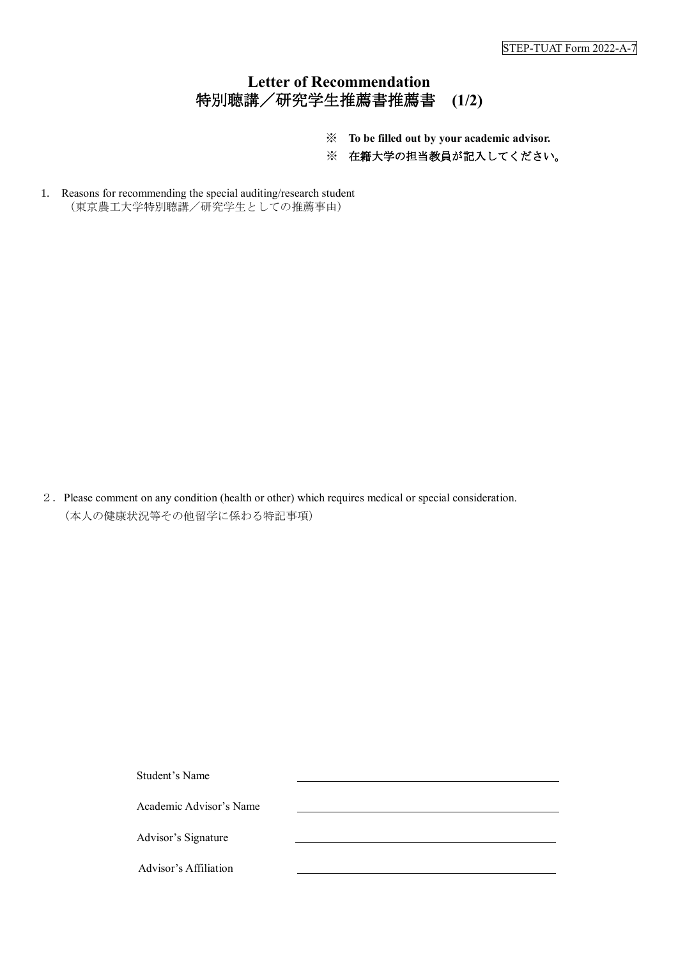## **Letter of Recommendation** 特別聴講/研究学生推薦書推薦書 **(1/2)**

- ※ **To be filled out by your academic advisor.**
- ※ 在籍大学の担当教員が記入してください。
- 1. Reasons for recommending the special auditing/research student (東京農工大学特別聴講/研究学生としての推薦事由)

2.Please comment on any condition (health or other) which requires medical or special consideration. (本人の健康状況等その他留学に係わる特記事項)

| Student's Name          |  |
|-------------------------|--|
| Academic Advisor's Name |  |
| Advisor's Signature     |  |
| Advisor's Affiliation   |  |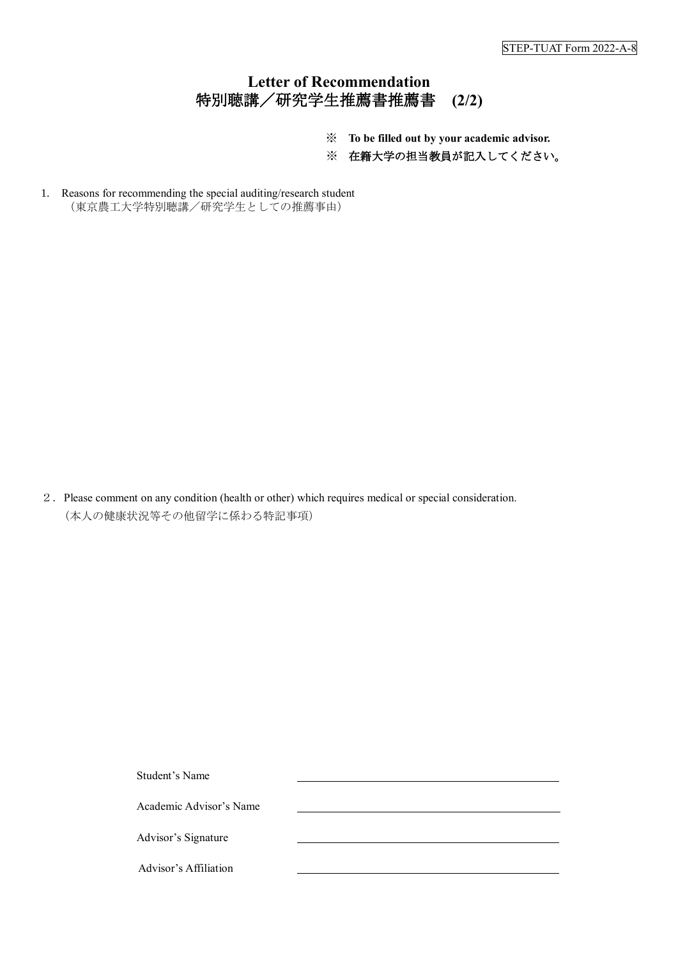### **Letter of Recommendation** 特別聴講/研究学生推薦書推薦書 **(2/2)**

- ※ **To be filled out by your academic advisor.**
- ※ 在籍大学の担当教員が記入してください。
- 1. Reasons for recommending the special auditing/research student (東京農工大学特別聴講/研究学生としての推薦事由)

2.Please comment on any condition (health or other) which requires medical or special consideration. (本人の健康状況等その他留学に係わる特記事項)

| Student's Name          |  |
|-------------------------|--|
| Academic Advisor's Name |  |
| Advisor's Signature     |  |
| Advisor's Affiliation   |  |